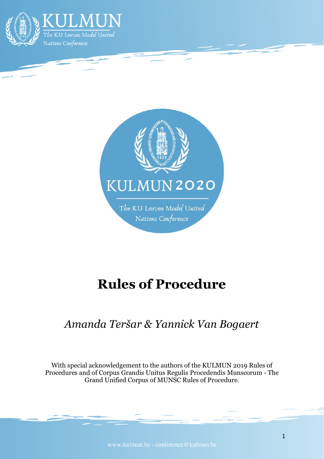



# **Rules of Procedure**

## *Amanda Teršar & Yannick Van Bogaert*

With special acknowledgement to the authors of the KULMUN 2019 Rules of Procedures and of Corpus Grandis Unitus Regulis Procedendis Munscorum - The Grand Unified Corpus of MUNSC Rules of Procedure.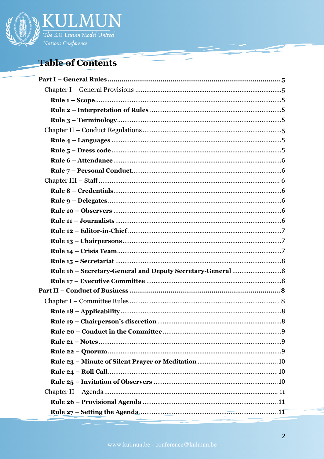

## **Table of Contents**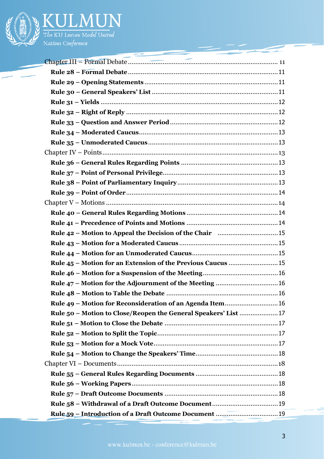

The KU Leuven Model United<br>Nations Conference Nations Conference

| 一                                                              |
|----------------------------------------------------------------|
|                                                                |
|                                                                |
|                                                                |
|                                                                |
|                                                                |
|                                                                |
|                                                                |
|                                                                |
|                                                                |
|                                                                |
|                                                                |
|                                                                |
|                                                                |
|                                                                |
|                                                                |
|                                                                |
|                                                                |
|                                                                |
|                                                                |
|                                                                |
|                                                                |
|                                                                |
|                                                                |
| Rule 49 - Motion for Reconsideration of an Agenda Item 16      |
| Rule 50 - Motion to Close/Reopen the General Speakers' List 17 |
|                                                                |
|                                                                |
|                                                                |
|                                                                |
|                                                                |
|                                                                |
|                                                                |
|                                                                |
|                                                                |
|                                                                |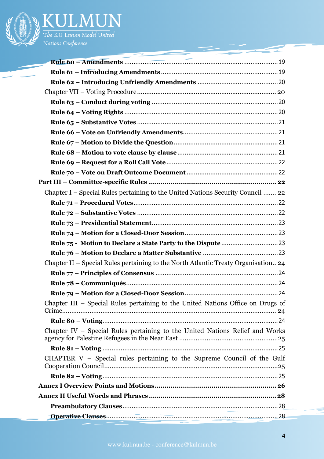

| Chapter I – Special Rules pertaining to the United Nations Security Council  22    |
|------------------------------------------------------------------------------------|
|                                                                                    |
|                                                                                    |
|                                                                                    |
|                                                                                    |
|                                                                                    |
|                                                                                    |
|                                                                                    |
| Chapter II – Special Rules pertaining to the North Atlantic Treaty Organisation 24 |
|                                                                                    |
|                                                                                    |
|                                                                                    |
| Chapter III - Special Rules pertaining to the United Nations Office on Drugs of    |
|                                                                                    |
| Chapter IV - Special Rules pertaining to the United Nations Relief and Works       |
|                                                                                    |
| CHAPTER V - Special rules pertaining to the Supreme Council of the Gulf            |
|                                                                                    |
|                                                                                    |
|                                                                                    |
|                                                                                    |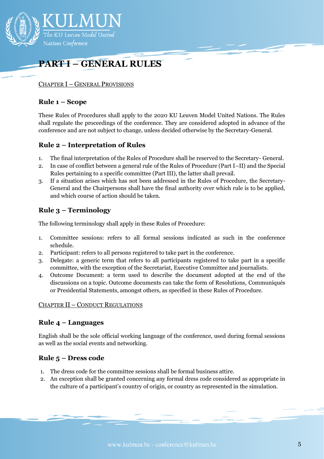

## <span id="page-4-0"></span>**PART I – GENERAL RULES**

#### <span id="page-4-1"></span>CHAPTER I – GENERAL PROVISIONS

#### <span id="page-4-2"></span>**Rule 1 – Scope**

These Rules of Procedures shall apply to the 2020 KU Leuven Model United Nations. The Rules shall regulate the proceedings of the conference. They are considered adopted in advance of the conference and are not subject to change, unless decided otherwise by the Secretary-General.

#### <span id="page-4-3"></span>**Rule 2 – Interpretation of Rules**

- 1. The final interpretation of the Rules of Procedure shall be reserved to the Secretary- General.
- 2. In case of conflict between a general rule of the Rules of Procedure (Part I–II) and the Special Rules pertaining to a specific committee (Part III), the latter shall prevail.
- 3. If a situation arises which has not been addressed in the Rules of Procedure, the Secretary-General and the Chairpersons shall have the final authority over which rule is to be applied, and which course of action should be taken.

## <span id="page-4-4"></span>**Rule 3 – Terminology**

The following terminology shall apply in these Rules of Procedure:

- 1. Committee sessions: refers to all formal sessions indicated as such in the conference schedule.
- 2. Participant: refers to all persons registered to take part in the conference.
- 3. Delegate: a generic term that refers to all participants registered to take part in a specific committee, with the exception of the Secretariat, Executive Committee and journalists.
- 4. Outcome Document: a term used to describe the document adopted at the end of the discussions on a topic. Outcome documents can take the form of Resolutions, Communiqués or Presidential Statements, amongst others, as specified in these Rules of Procedure.

#### <span id="page-4-5"></span>CHAPTER II – CONDUCT REGULATIONS

#### <span id="page-4-6"></span>**Rule 4 – Languages**

English shall be the sole official working language of the conference, used during formal sessions as well as the social events and networking.

## <span id="page-4-7"></span>**Rule 5 – Dress code**

- 1. The dress code for the committee sessions shall be formal business attire.
- 2. An exception shall be granted concerning any formal dress code considered as appropriate in the culture of a participant's country of origin, or country as represented in the simulation.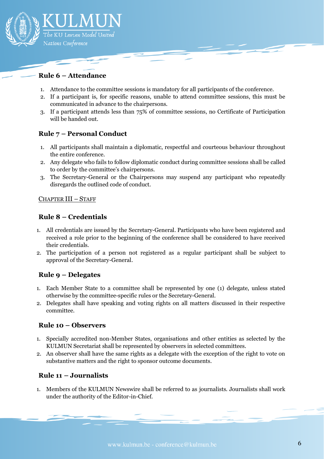

### <span id="page-5-0"></span>**Rule 6 – Attendance**

- 1. Attendance to the committee sessions is mandatory for all participants of the conference.
- 2. If a participant is, for specific reasons, unable to attend committee sessions, this must be communicated in advance to the chairpersons.
- 3. If a participant attends less than 75% of committee sessions, no Certificate of Participation will be handed out.

#### <span id="page-5-1"></span>**Rule 7 – Personal Conduct**

- 1. All participants shall maintain a diplomatic, respectful and courteous behaviour throughout the entire conference.
- 2. Any delegate who fails to follow diplomatic conduct during committee sessions shall be called to order by the committee's chairpersons.
- 3. The Secretary-General or the Chairpersons may suspend any participant who repeatedly disregards the outlined code of conduct.

#### <span id="page-5-2"></span>CHAPTER III – STAFF

#### <span id="page-5-3"></span>**Rule 8 – Credentials**

- 1. All credentials are issued by the Secretary-General. Participants who have been registered and received a role prior to the beginning of the conference shall be considered to have received their credentials.
- 2. The participation of a person not registered as a regular participant shall be subject to approval of the Secretary-General.

#### <span id="page-5-4"></span>**Rule 9 – Delegates**

- 1. Each Member State to a committee shall be represented by one (1) delegate, unless stated otherwise by the committee-specific rules or the Secretary-General.
- 2. Delegates shall have speaking and voting rights on all matters discussed in their respective committee.

#### <span id="page-5-5"></span>**Rule 10 – Observers**

- 1. Specially accredited non-Member States, organisations and other entities as selected by the KULMUN Secretariat shall be represented by observers in selected committees.
- 2. An observer shall have the same rights as a delegate with the exception of the right to vote on substantive matters and the right to sponsor outcome documents.

#### <span id="page-5-6"></span>**Rule 11 – Journalists**

1. Members of the KULMUN Newswire shall be referred to as journalists. Journalists shall work under the authority of the Editor-in-Chief.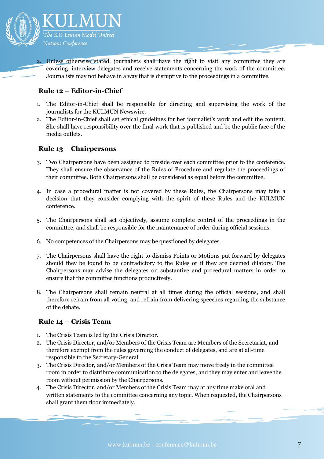

2. Unless otherwise stated, journalists shall have the right to visit any committee they are covering, interview delegates and receive statements concerning the work of the committee. Journalists may not behave in a way that is disruptive to the proceedings in a committee.

## <span id="page-6-0"></span>**Rule 12 – Editor-in-Chief**

- 1. The Editor-in-Chief shall be responsible for directing and supervising the work of the journalists for the KULMUN Newswire.
- 2. The Editor-in-Chief shall set ethical guidelines for her journalist's work and edit the content. She shall have responsibility over the final work that is published and be the public face of the media outlets.

## <span id="page-6-1"></span>**Rule 13 – Chairpersons**

- 3. Two Chairpersons have been assigned to preside over each committee prior to the conference. They shall ensure the observance of the Rules of Procedure and regulate the proceedings of their committee. Both Chairpersons shall be considered as equal before the committee.
- 4. In case a procedural matter is not covered by these Rules, the Chairpersons may take a decision that they consider complying with the spirit of these Rules and the KULMUN conference.
- 5. The Chairpersons shall act objectively, assume complete control of the proceedings in the committee, and shall be responsible for the maintenance of order during official sessions.
- 6. No competences of the Chairpersons may be questioned by delegates.
- 7. The Chairpersons shall have the right to dismiss Points or Motions put forward by delegates should they be found to be contradictory to the Rules or if they are deemed dilatory. The Chairpersons may advise the delegates on substantive and procedural matters in order to ensure that the committee functions productively.
- 8. The Chairpersons shall remain neutral at all times during the official sessions, and shall therefore refrain from all voting, and refrain from delivering speeches regarding the substance of the debate.

## <span id="page-6-2"></span>**Rule 14 – Crisis Team**

- 1. The Crisis Team is led by the Crisis Director.
- 2. The Crisis Director, and/or Members of the Crisis Team are Members of the Secretariat, and therefore exempt from the rules governing the conduct of delegates, and are at all-time responsible to the Secretary-General.
- 3. The Crisis Director, and/or Members of the Crisis Team may move freely in the committee room in order to distribute communication to the delegates, and they may enter and leave the room without permission by the Chairpersons.
- 4. The Crisis Director, and/or Members of the Crisis Team may at any time make oral and written statements to the committee concerning any topic. When requested, the Chairpersons shall grant them floor immediately.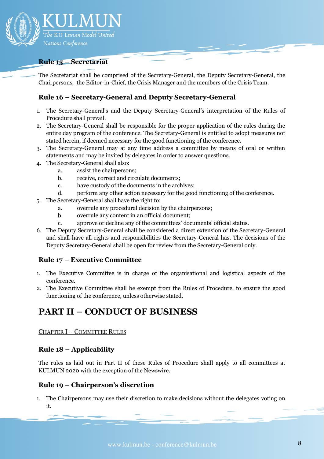

#### <span id="page-7-0"></span>**Rule 15 – Secretariat**

The Secretariat shall be comprised of the Secretary-General, the Deputy Secretary-General, the Chairpersons, the Editor-in-Chief, the Crisis Manager and the members of the Crisis Team.

#### <span id="page-7-1"></span>**Rule 16 – Secretary-General and Deputy Secretary-General**

- 1. The Secretary-General's and the Deputy Secretary-General's interpretation of the Rules of Procedure shall prevail.
- 2. The Secretary-General shall be responsible for the proper application of the rules during the entire day program of the conference. The Secretary-General is entitled to adopt measures not stated herein, if deemed necessary for the good functioning of the conference.
- 3. The Secretary-General may at any time address a committee by means of oral or written statements and may be invited by delegates in order to answer questions.
- 4. The Secretary-General shall also:
	- a. assist the chairpersons;
	- b. receive, correct and circulate documents;
	- c. have custody of the documents in the archives;
	- d. perform any other action necessary for the good functioning of the conference.
- 5. The Secretary-General shall have the right to:
	- a. overrule any procedural decision by the chairpersons;
	- b. overrule any content in an official document;
	- c. approve or decline any of the committees' documents' official status.
- 6. The Deputy Secretary-General shall be considered a direct extension of the Secretary-General and shall have all rights and responsibilities the Secretary-General has. The decisions of the Deputy Secretary-General shall be open for review from the Secretary-General only.

#### <span id="page-7-2"></span>**Rule 17 – Executive Committee**

- 1. The Executive Committee is in charge of the organisational and logistical aspects of the conference.
- 2. The Executive Committee shall be exempt from the Rules of Procedure, to ensure the good functioning of the conference, unless otherwise stated.

## <span id="page-7-3"></span>**PART II – CONDUCT OF BUSINESS**

<span id="page-7-4"></span>CHAPTER I – COMMITTEE RULES

#### <span id="page-7-5"></span>**Rule 18 – Applicability**

The rules as laid out in Part II of these Rules of Procedure shall apply to all committees at KULMUN 2020 with the exception of the Newswire.

#### <span id="page-7-6"></span>**Rule 19 – Chairperson's discretion**

1. The Chairpersons may use their discretion to make decisions without the delegates voting on it.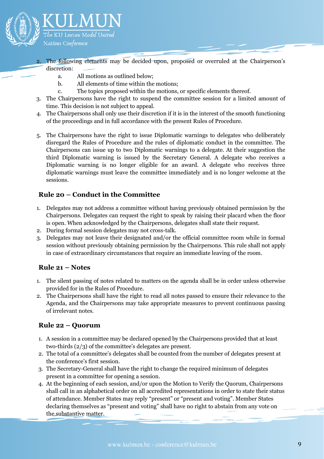

- 2. The following elements may be decided upon, proposed or overruled at the Chairperson's discretion:
	- a. All motions as outlined below;
	- b. All elements of time within the motions;
	- c. The topics proposed within the motions, or specific elements thereof.
- 3. The Chairpersons have the right to suspend the committee session for a limited amount of time. This decision is not subject to appeal.
- 4. The Chairpersons shall only use their discretion if it is in the interest of the smooth functioning of the proceedings and in full accordance with the present Rules of Procedure.
- 5. The Chairpersons have the right to issue Diplomatic warnings to delegates who deliberately disregard the Rules of Procedure and the rules of diplomatic conduct in the committee. The Chairpersons can issue up to two Diplomatic warnings to a delegate. At their suggestion the third Diplomatic warning is issued by the Secretary General. A delegate who receives a Diplomatic warning is no longer eligible for an award. A delegate who receives three diplomatic warnings must leave the committee immediately and is no longer welcome at the sessions.

## <span id="page-8-0"></span>**Rule 20 – Conduct in the Committee**

- 1. Delegates may not address a committee without having previously obtained permission by the Chairpersons. Delegates can request the right to speak by raising their placard when the floor is open. When acknowledged by the Chairpersons, delegates shall state their request.
- 2. During formal session delegates may not cross-talk.
- 3. Delegates may not leave their designated and/or the official committee room while in formal session without previously obtaining permission by the Chairpersons. This rule shall not apply in case of extraordinary circumstances that require an immediate leaving of the room.

## <span id="page-8-1"></span>**Rule 21 – Notes**

- 1. The silent passing of notes related to matters on the agenda shall be in order unless otherwise provided for in the Rules of Procedure.
- 2. The Chairpersons shall have the right to read all notes passed to ensure their relevance to the Agenda, and the Chairpersons may take appropriate measures to prevent continuous passing of irrelevant notes.

## <span id="page-8-2"></span>**Rule 22 – Quorum**

- 1. A session in a committee may be declared opened by the Chairpersons provided that at least two-thirds (2/3) of the committee's delegates are present.
- 2. The total of a committee's delegates shall be counted from the number of delegates present at the conference's first session.
- 3. The Secretary-General shall have the right to change the required minimum of delegates present in a committee for opening a session.
- 4. At the beginning of each session, and/or upon the Motion to Verify the Quorum, Chairpersons shall call in an alphabetical order on all accredited representations in order to state their status of attendance. Member States may reply "present" or "present and voting". Member States declaring themselves as "present and voting" shall have no right to abstain from any vote on the substantive matter.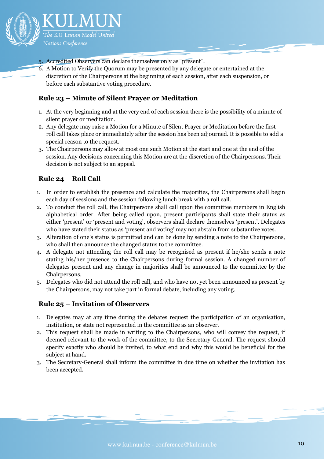

- 5. Accredited Observers can declare themselves only as "present".
- 6. A Motion to Verify the Quorum may be presented by any delegate or entertained at the discretion of the Chairpersons at the beginning of each session, after each suspension, or before each substantive voting procedure.

#### <span id="page-9-0"></span>**Rule 23 – Minute of Silent Prayer or Meditation**

- 1. At the very beginning and at the very end of each session there is the possibility of a minute of silent prayer or meditation.
- 2. Any delegate may raise a Motion for a Minute of Silent Prayer or Meditation before the first roll call takes place or immediately after the session has been adjourned. It is possible to add a special reason to the request.
- 3. The Chairpersons may allow at most one such Motion at the start and one at the end of the session. Any decisions concerning this Motion are at the discretion of the Chairpersons. Their decision is not subject to an appeal.

## <span id="page-9-1"></span>**Rule 24 – Roll Call**

- 1. In order to establish the presence and calculate the majorities, the Chairpersons shall begin each day of sessions and the session following lunch break with a roll call.
- 2. To conduct the roll call, the Chairpersons shall call upon the committee members in English alphabetical order. After being called upon, present participants shall state their status as either 'present' or 'present and voting', observers shall declare themselves 'present'. Delegates who have stated their status as 'present and voting' may not abstain from substantive votes.
- 3. Alteration of one's status is permitted and can be done by sending a note to the Chairpersons, who shall then announce the changed status to the committee.
- 4. A delegate not attending the roll call may be recognised as present if he/she sends a note stating his/her presence to the Chairpersons during formal session. A changed number of delegates present and any change in majorities shall be announced to the committee by the Chairpersons.
- 5. Delegates who did not attend the roll call, and who have not yet been announced as present by the Chairpersons, may not take part in formal debate, including any voting.

## <span id="page-9-2"></span>**Rule 25 – Invitation of Observers**

- 1. Delegates may at any time during the debates request the participation of an organisation, institution, or state not represented in the committee as an observer.
- 2. This request shall be made in writing to the Chairpersons, who will convey the request, if deemed relevant to the work of the committee, to the Secretary-General. The request should specify exactly who should be invited, to what end and why this would be beneficial for the subject at hand.
- 3. The Secretary-General shall inform the committee in due time on whether the invitation has been accepted.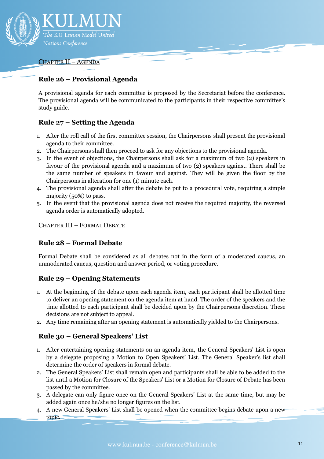

#### <span id="page-10-0"></span>CHAPTER II – AGENDA

## <span id="page-10-1"></span>**Rule 26 – Provisional Agenda**

A provisional agenda for each committee is proposed by the Secretariat before the conference. The provisional agenda will be communicated to the participants in their respective committee's study guide.

## <span id="page-10-2"></span>**Rule 27 – Setting the Agenda**

- 1. After the roll call of the first committee session, the Chairpersons shall present the provisional agenda to their committee.
- 2. The Chairpersons shall then proceed to ask for any objections to the provisional agenda.
- 3. In the event of objections, the Chairpersons shall ask for a maximum of two (2) speakers in favour of the provisional agenda and a maximum of two (2) speakers against. There shall be the same number of speakers in favour and against. They will be given the floor by the Chairpersons in alteration for one (1) minute each.
- 4. The provisional agenda shall after the debate be put to a procedural vote, requiring a simple majority (50%) to pass.
- 5. In the event that the provisional agenda does not receive the required majority, the reversed agenda order is automatically adopted.

#### <span id="page-10-3"></span>CHAPTER III – FORMAL DEBATE

#### <span id="page-10-4"></span>**Rule 28 – Formal Debate**

Formal Debate shall be considered as all debates not in the form of a moderated caucus, an unmoderated caucus, question and answer period, or voting procedure.

## <span id="page-10-5"></span>**Rule 29 – Opening Statements**

- 1. At the beginning of the debate upon each agenda item, each participant shall be allotted time to deliver an opening statement on the agenda item at hand. The order of the speakers and the time allotted to each participant shall be decided upon by the Chairpersons discretion. These decisions are not subject to appeal.
- 2. Any time remaining after an opening statement is automatically yielded to the Chairpersons.

## <span id="page-10-6"></span>**Rule 30 – General Speakers' List**

- 1. After entertaining opening statements on an agenda item, the General Speakers' List is open by a delegate proposing a Motion to Open Speakers' List. The General Speaker's list shall determine the order of speakers in formal debate.
- 2. The General Speakers' List shall remain open and participants shall be able to be added to the list until a Motion for Closure of the Speakers' List or a Motion for Closure of Debate has been passed by the committee.
- 3. A delegate can only figure once on the General Speakers' List at the same time, but may be added again once he/she no longer figures on the list.
- 4. A new General Speakers' List shall be opened when the committee begins debate upon a new topic.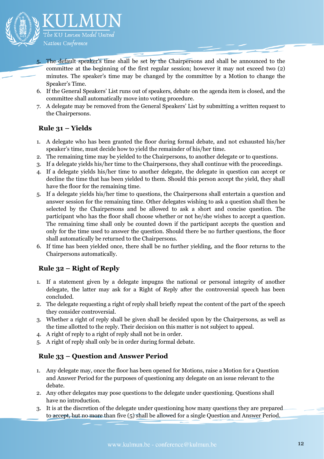

- 5. The default speaker's time shall be set by the Chairpersons and shall be announced to the committee at the beginning of the first regular session; however it may not exceed two (2) minutes. The speaker's time may be changed by the committee by a Motion to change the Speaker's Time.
- 6. If the General Speakers' List runs out of speakers, debate on the agenda item is closed, and the committee shall automatically move into voting procedure.
- 7. A delegate may be removed from the General Speakers' List by submitting a written request to the Chairpersons.

## <span id="page-11-0"></span>**Rule 31 – Yields**

- 1. A delegate who has been granted the floor during formal debate, and not exhausted his/her speaker's time, must decide how to yield the remainder of his/her time.
- 2. The remaining time may be yielded to the Chairpersons, to another delegate or to questions.
- 3. If a delegate yields his/her time to the Chairpersons, they shall continue with the proceedings.
- 4. If a delegate yields his/her time to another delegate, the delegate in question can accept or decline the time that has been yielded to them. Should this person accept the yield, they shall have the floor for the remaining time.
- 5. If a delegate yields his/her time to questions, the Chairpersons shall entertain a question and answer session for the remaining time. Other delegates wishing to ask a question shall then be selected by the Chairpersons and be allowed to ask a short and concise question. The participant who has the floor shall choose whether or not he/she wishes to accept a question. The remaining time shall only be counted down if the participant accepts the question and only for the time used to answer the question. Should there be no further questions, the floor shall automatically be returned to the Chairpersons.
- 6. If time has been yielded once, there shall be no further yielding, and the floor returns to the Chairpersons automatically.

## <span id="page-11-1"></span>**Rule 32 – Right of Reply**

- 1. If a statement given by a delegate impugns the national or personal integrity of another delegate, the latter may ask for a Right of Reply after the controversial speech has been concluded.
- 2. The delegate requesting a right of reply shall briefly repeat the content of the part of the speech they consider controversial.
- 3. Whether a right of reply shall be given shall be decided upon by the Chairpersons, as well as the time allotted to the reply. Their decision on this matter is not subject to appeal.
- 4. A right of reply to a right of reply shall not be in order.
- 5. A right of reply shall only be in order during formal debate.

## <span id="page-11-2"></span>**Rule 33 – Question and Answer Period**

- 1. Any delegate may, once the floor has been opened for Motions, raise a Motion for a Question and Answer Period for the purposes of questioning any delegate on an issue relevant to the debate.
- 2. Any other delegates may pose questions to the delegate under questioning. Questions shall have no introduction.
- 3. It is at the discretion of the delegate under questioning how many questions they are prepared to accept, but no more than five (5) shall be allowed for a single Question and Answer Period.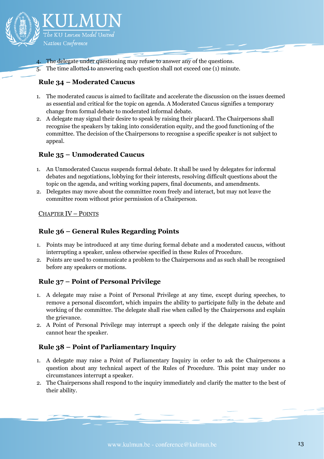

The delegate under questioning may refuse to answer any of the questions.

5. The time allotted to answering each question shall not exceed one (1) minute.

## <span id="page-12-0"></span>**Rule 34 – Moderated Caucus**

- 1. The moderated caucus is aimed to facilitate and accelerate the discussion on the issues deemed as essential and critical for the topic on agenda. A Moderated Caucus signifies a temporary change from formal debate to moderated informal debate.
- 2. A delegate may signal their desire to speak by raising their placard. The Chairpersons shall recognise the speakers by taking into consideration equity, and the good functioning of the committee. The decision of the Chairpersons to recognise a specific speaker is not subject to appeal.

## <span id="page-12-1"></span>**Rule 35 – Unmoderated Caucus**

- 1. An Unmoderated Caucus suspends formal debate. It shall be used by delegates for informal debates and negotiations, lobbying for their interests, resolving difficult questions about the topic on the agenda, and writing working papers, final documents, and amendments.
- 2. Delegates may move about the committee room freely and interact, but may not leave the committee room without prior permission of a Chairperson.

#### <span id="page-12-2"></span>CHAPTER IV – POINTS

## <span id="page-12-3"></span>**Rule 36 – General Rules Regarding Points**

- 1. Points may be introduced at any time during formal debate and a moderated caucus, without interrupting a speaker, unless otherwise specified in these Rules of Procedure.
- 2. Points are used to communicate a problem to the Chairpersons and as such shall be recognised before any speakers or motions.

## <span id="page-12-4"></span>**Rule 37 – Point of Personal Privilege**

- 1. A delegate may raise a Point of Personal Privilege at any time, except during speeches, to remove a personal discomfort, which impairs the ability to participate fully in the debate and working of the committee. The delegate shall rise when called by the Chairpersons and explain the grievance.
- 2. A Point of Personal Privilege may interrupt a speech only if the delegate raising the point cannot hear the speaker.

## <span id="page-12-5"></span>**Rule 38 – Point of Parliamentary Inquiry**

- 1. A delegate may raise a Point of Parliamentary Inquiry in order to ask the Chairpersons a question about any technical aspect of the Rules of Procedure. This point may under no circumstances interrupt a speaker.
- 2. The Chairpersons shall respond to the inquiry immediately and clarify the matter to the best of their ability.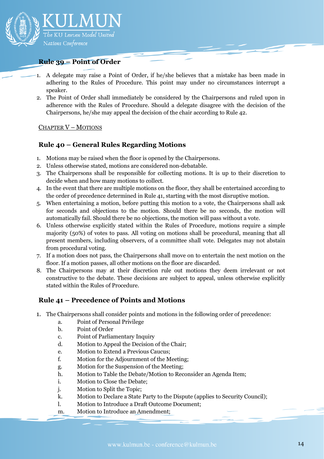

#### <span id="page-13-0"></span>**Rule 39 – Point of Order**

- 1. A delegate may raise a Point of Order, if he/she believes that a mistake has been made in adhering to the Rules of Procedure. This point may under no circumstances interrupt a speaker.
- 2. The Point of Order shall immediately be considered by the Chairpersons and ruled upon in adherence with the Rules of Procedure. Should a delegate disagree with the decision of the Chairpersons, he/she may appeal the decision of the chair according to Rule 42.

#### <span id="page-13-1"></span>CHAPTER V – MOTIONS

## <span id="page-13-2"></span>**Rule 40 – General Rules Regarding Motions**

- 1. Motions may be raised when the floor is opened by the Chairpersons.
- 2. Unless otherwise stated, motions are considered non-debatable.
- 3. The Chairpersons shall be responsible for collecting motions. It is up to their discretion to decide when and how many motions to collect.
- 4. In the event that there are multiple motions on the floor, they shall be entertained according to the order of precedence determined in Rule 41, starting with the most disruptive motion.
- 5. When entertaining a motion, before putting this motion to a vote, the Chairpersons shall ask for seconds and objections to the motion. Should there be no seconds, the motion will automatically fail. Should there be no objections, the motion will pass without a vote.
- 6. Unless otherwise explicitly stated within the Rules of Procedure, motions require a simple majority (50%) of votes to pass. All voting on motions shall be procedural, meaning that all present members, including observers, of a committee shall vote. Delegates may not abstain from procedural voting.
- 7. If a motion does not pass, the Chairpersons shall move on to entertain the next motion on the floor. If a motion passes, all other motions on the floor are discarded.
- 8. The Chairpersons may at their discretion rule out motions they deem irrelevant or not constructive to the debate. These decisions are subject to appeal, unless otherwise explicitly stated within the Rules of Procedure.

## <span id="page-13-3"></span>**Rule 41 – Precedence of Points and Motions**

- 1. The Chairpersons shall consider points and motions in the following order of precedence:
	- a. Point of Personal Privilege
	- b. Point of Order
	- c. Point of Parliamentary Inquiry
	- d. Motion to Appeal the Decision of the Chair;
	- e. Motion to Extend a Previous Caucus;
	- f. Motion for the Adjournment of the Meeting;
	- g. Motion for the Suspension of the Meeting;
	- h. Motion to Table the Debate/Motion to Reconsider an Agenda Item;
	- i. Motion to Close the Debate;
	- j. Motion to Split the Topic;
	- k. Motion to Declare a State Party to the Dispute (applies to Security Council);
	- l. Motion to Introduce a Draft Outcome Document;
	- m. Motion to Introduce an Amendment;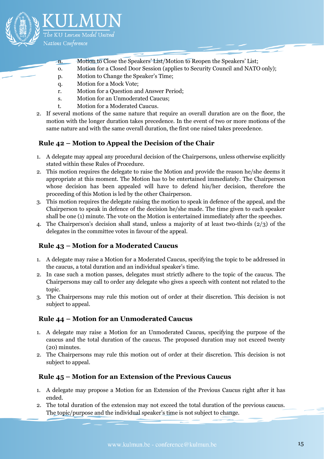

- n. Motion to Close the Speakers' List/Motion to Reopen the Speakers' List;
- o. Motion for a Closed Door Session (applies to Security Council and NATO only);
- p. Motion to Change the Speaker's Time;
- q. Motion for a Mock Vote;
- r. Motion for a Question and Answer Period;
- s. Motion for an Unmoderated Caucus;
- t. Motion for a Moderated Caucus.
- 2. If several motions of the same nature that require an overall duration are on the floor, the motion with the longer duration takes precedence. In the event of two or more motions of the same nature and with the same overall duration, the first one raised takes precedence.

## <span id="page-14-0"></span>**Rule 42 – Motion to Appeal the Decision of the Chair**

- 1. A delegate may appeal any procedural decision of the Chairpersons, unless otherwise explicitly stated within these Rules of Procedure.
- 2. This motion requires the delegate to raise the Motion and provide the reason he/she deems it appropriate at this moment. The Motion has to be entertained immediately. The Chairperson whose decision has been appealed will have to defend his/her decision, therefore the proceeding of this Motion is led by the other Chairperson.
- 3. This motion requires the delegate raising the motion to speak in defence of the appeal, and the Chairperson to speak in defence of the decision he/she made. The time given to each speaker shall be one (1) minute. The vote on the Motion is entertained immediately after the speeches.
- 4. The Chairperson's decision shall stand, unless a majority of at least two-thirds (2/3) of the delegates in the committee votes in favour of the appeal.

## <span id="page-14-1"></span>**Rule 43 – Motion for a Moderated Caucus**

- 1. A delegate may raise a Motion for a Moderated Caucus, specifying the topic to be addressed in the caucus, a total duration and an individual speaker's time.
- 2. In case such a motion passes, delegates must strictly adhere to the topic of the caucus. The Chairpersons may call to order any delegate who gives a speech with content not related to the topic.
- 3. The Chairpersons may rule this motion out of order at their discretion. This decision is not subject to appeal.

## <span id="page-14-2"></span>**Rule 44 – Motion for an Unmoderated Caucus**

- 1. A delegate may raise a Motion for an Unmoderated Caucus, specifying the purpose of the caucus and the total duration of the caucus. The proposed duration may not exceed twenty (20) minutes.
- 2. The Chairpersons may rule this motion out of order at their discretion. This decision is not subject to appeal.

## <span id="page-14-3"></span>**Rule 45 – Motion for an Extension of the Previous Caucus**

- 1. A delegate may propose a Motion for an Extension of the Previous Caucus right after it has ended.
- 2. The total duration of the extension may not exceed the total duration of the previous caucus. The topic/purpose and the individual speaker's time is not subject to change.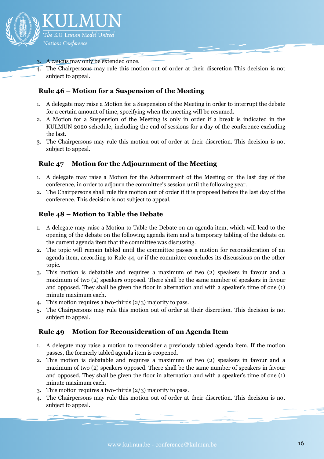

#### A caucus may only be extended once.

4. The Chairpersons may rule this motion out of order at their discretion This decision is not subject to appeal.

### <span id="page-15-0"></span>**Rule 46 – Motion for a Suspension of the Meeting**

- 1. A delegate may raise a Motion for a Suspension of the Meeting in order to interrupt the debate for a certain amount of time, specifying when the meeting will be resumed.
- 2. A Motion for a Suspension of the Meeting is only in order if a break is indicated in the KULMUN 2020 schedule, including the end of sessions for a day of the conference excluding the last.
- 3. The Chairpersons may rule this motion out of order at their discretion. This decision is not subject to appeal.

## <span id="page-15-1"></span>**Rule 47 – Motion for the Adjournment of the Meeting**

- 1. A delegate may raise a Motion for the Adjournment of the Meeting on the last day of the conference, in order to adjourn the committee's session until the following year.
- 2. The Chairpersons shall rule this motion out of order if it is proposed before the last day of the conference. This decision is not subject to appeal.

#### <span id="page-15-2"></span>**Rule 48 – Motion to Table the Debate**

- 1. A delegate may raise a Motion to Table the Debate on an agenda item, which will lead to the opening of the debate on the following agenda item and a temporary tabling of the debate on the current agenda item that the committee was discussing.
- 2. The topic will remain tabled until the committee passes a motion for reconsideration of an agenda item, according to Rule 44, or if the committee concludes its discussions on the other topic.
- 3. This motion is debatable and requires a maximum of two (2) speakers in favour and a maximum of two (2) speakers opposed. There shall be the same number of speakers in favour and opposed. They shall be given the floor in alternation and with a speaker's time of one (1) minute maximum each.
- 4. This motion requires a two-thirds (2/3) majority to pass.
- 5. The Chairpersons may rule this motion out of order at their discretion. This decision is not subject to appeal.

#### <span id="page-15-3"></span>**Rule 49 – Motion for Reconsideration of an Agenda Item**

- 1. A delegate may raise a motion to reconsider a previously tabled agenda item. If the motion passes, the formerly tabled agenda item is reopened.
- 2. This motion is debatable and requires a maximum of two (2) speakers in favour and a maximum of two (2) speakers opposed. There shall be the same number of speakers in favour and opposed. They shall be given the floor in alternation and with a speaker's time of one (1) minute maximum each.
- 3. This motion requires a two-thirds (2/3) majority to pass.
- 4. The Chairpersons may rule this motion out of order at their discretion. This decision is not subject to appeal.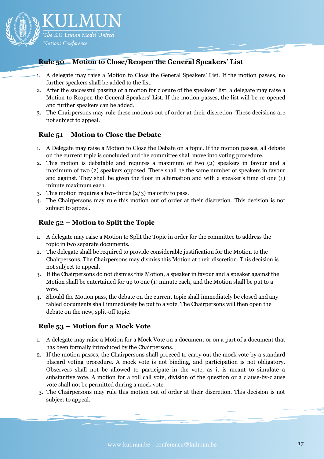

## <span id="page-16-0"></span>**Rule 50 – Motion to Close/Reopen the General Speakers' List**

- 1. A delegate may raise a Motion to Close the General Speakers' List. If the motion passes, no further speakers shall be added to the list.
- 2. After the successful passing of a motion for closure of the speakers' list, a delegate may raise a Motion to Reopen the General Speakers' List. If the motion passes, the list will be re-opened and further speakers can be added.
- 3. The Chairpersons may rule these motions out of order at their discretion. These decisions are not subject to appeal.

#### <span id="page-16-1"></span>**Rule 51 – Motion to Close the Debate**

- 1. A Delegate may raise a Motion to Close the Debate on a topic. If the motion passes, all debate on the current topic is concluded and the committee shall move into voting procedure.
- 2. This motion is debatable and requires a maximum of two (2) speakers in favour and a maximum of two (2) speakers opposed. There shall be the same number of speakers in favour and against. They shall be given the floor in alternation and with a speaker's time of one (1) minute maximum each.
- 3. This motion requires a two-thirds (2/3) majority to pass.
- 4. The Chairpersons may rule this motion out of order at their discretion. This decision is not subject to appeal.

#### <span id="page-16-2"></span>**Rule 52 – Motion to Split the Topic**

- 1. A delegate may raise a Motion to Split the Topic in order for the committee to address the topic in two separate documents.
- 2. The delegate shall be required to provide considerable justification for the Motion to the Chairpersons. The Chairpersons may dismiss this Motion at their discretion. This decision is not subject to appeal.
- 3. If the Chairpersons do not dismiss this Motion, a speaker in favour and a speaker against the Motion shall be entertained for up to one (1) minute each, and the Motion shall be put to a vote.
- 4. Should the Motion pass, the debate on the current topic shall immediately be closed and any tabled documents shall immediately be put to a vote. The Chairpersons will then open the debate on the new, split-off topic.

## <span id="page-16-3"></span>**Rule 53 – Motion for a Mock Vote**

- 1. A delegate may raise a Motion for a Mock Vote on a document or on a part of a document that has been formally introduced by the Chairpersons.
- 2. If the motion passes, the Chairpersons shall proceed to carry out the mock vote by a standard placard voting procedure. A mock vote is not binding, and participation is not obligatory. Observers shall not be allowed to participate in the vote, as it is meant to simulate a substantive vote. A motion for a roll call vote, division of the question or a clause-by-clause vote shall not be permitted during a mock vote.
- 3. The Chairpersons may rule this motion out of order at their discretion. This decision is not subject to appeal.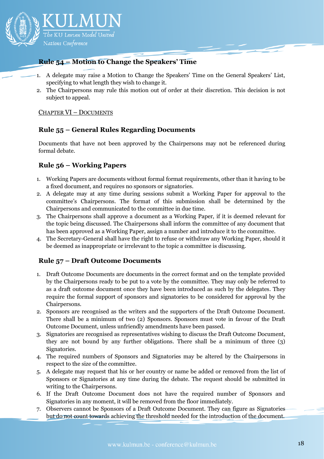

## <span id="page-17-0"></span>**Rule 54 – Motion to Change the Speakers' Time**

- 1. A delegate may raise a Motion to Change the Speakers' Time on the General Speakers' List, specifying to what length they wish to change it.
- 2. The Chairpersons may rule this motion out of order at their discretion. This decision is not subject to appeal.

#### <span id="page-17-1"></span>CHAPTER VI – DOCUMENTS

## <span id="page-17-2"></span>**Rule 55 – General Rules Regarding Documents**

Documents that have not been approved by the Chairpersons may not be referenced during formal debate.

#### <span id="page-17-3"></span>**Rule 56 – Working Papers**

- 1. Working Papers are documents without formal format requirements, other than it having to be a fixed document, and requires no sponsors or signatories.
- 2. A delegate may at any time during sessions submit a Working Paper for approval to the committee's Chairpersons. The format of this submission shall be determined by the Chairpersons and communicated to the committee in due time.
- 3. The Chairpersons shall approve a document as a Working Paper, if it is deemed relevant for the topic being discussed. The Chairpersons shall inform the committee of any document that has been approved as a Working Paper, assign a number and introduce it to the committee.
- 4. The Secretary-General shall have the right to refuse or withdraw any Working Paper, should it be deemed as inappropriate or irrelevant to the topic a committee is discussing.

#### <span id="page-17-4"></span>**Rule 57 – Draft Outcome Documents**

- 1. Draft Outcome Documents are documents in the correct format and on the template provided by the Chairpersons ready to be put to a vote by the committee. They may only be referred to as a draft outcome document once they have been introduced as such by the delegates. They require the formal support of sponsors and signatories to be considered for approval by the Chairpersons.
- 2. Sponsors are recognised as the writers and the supporters of the Draft Outcome Document. There shall be a minimum of two (2) Sponsors. Sponsors must vote in favour of the Draft Outcome Document, unless unfriendly amendments have been passed.
- 3. Signatories are recognised as representatives wishing to discuss the Draft Outcome Document, they are not bound by any further obligations. There shall be a minimum of three (3) Signatories.
- 4. The required numbers of Sponsors and Signatories may be altered by the Chairpersons in respect to the size of the committee.
- 5. A delegate may request that his or her country or name be added or removed from the list of Sponsors or Signatories at any time during the debate. The request should be submitted in writing to the Chairpersons.
- 6. If the Draft Outcome Document does not have the required number of Sponsors and Signatories in any moment, it will be removed from the floor immediately.
- 7. Observers cannot be Sponsors of a Draft Outcome Document. They can figure as Signatories but do not count towards achieving the threshold needed for the introduction of the document.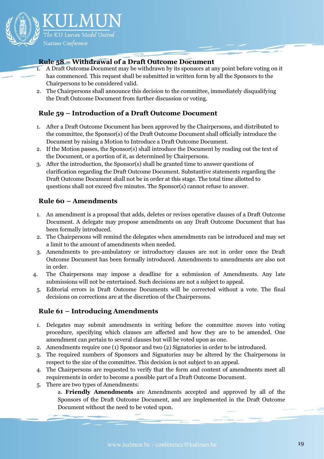

## <span id="page-18-0"></span>**Rule 58 – Withdrawal of a Draft Outcome Document**

- 1. A Draft Outcome Document may be withdrawn by its sponsors at any point before voting on it has commenced. This request shall be submitted in written form by all the Sponsors to the Chairpersons to be considered valid.
- 2. The Chairpersons shall announce this decision to the committee, immediately disqualifying the Draft Outcome Document from further discussion or voting.

## <span id="page-18-1"></span>**Rule 59 – Introduction of a Draft Outcome Document**

- 1. After a Draft Outcome Document has been approved by the Chairpersons, and distributed to the committee, the Sponsor(s) of the Draft Outcome Document shall officially introduce the Document by raising a Motion to Introduce a Draft Outcome Document.
- 2. If the Motion passes, the Sponsor(s) shall introduce the Document by reading out the text of the Document, or a portion of it, as determined by Chairpersons.
- 3. After the introduction, the Sponsor(s) shall be granted time to answer questions of clarification regarding the Draft Outcome Document. Substantive statements regarding the Draft Outcome Document shall not be in order at this stage. The total time allotted to questions shall not exceed five minutes. The Sponsor(s) cannot refuse to answer.

## <span id="page-18-2"></span>**Rule 60 – Amendments**

- 1. An amendment is a proposal that adds, deletes or revises operative clauses of a Draft Outcome Document. A delegate may propose amendments on any Draft Outcome Document that has been formally introduced.
- 2. The Chairpersons will remind the delegates when amendments can be introduced and may set a limit to the amount of amendments when needed.
- 3. Amendments to pre-ambulatory or introductory clauses are not in order once the Draft Outcome Document has been formally introduced. Amendments to amendments are also not in order.
- 4. The Chairpersons may impose a deadline for a submission of Amendments. Any late submissions will not be entertained. Such decisions are not a subject to appeal.
	- 5. Editorial errors in Draft Outcome Documents will be corrected without a vote. The final decisions on corrections are at the discretion of the Chairpersons.

## <span id="page-18-3"></span>**Rule 61 – Introducing Amendments**

- 1. Delegates may submit amendments in writing before the committee moves into voting procedure, specifying which clauses are affected and how they are to be amended. One amendment can pertain to several clauses but will be voted upon as one.
- 2. Amendments require one (1) Sponsor and two (2) Signatories in order to be introduced.
- 3. The required numbers of Sponsors and Signatories may be altered by the Chairpersons in respect to the size of the committee. This decision is not subject to an appeal.
- 4. The Chairpersons are requested to verify that the form and content of amendments meet all requirements in order to become a possible part of a Draft Outcome Document.
- 5. There are two types of Amendments:

a. **Friendly Amendments** are Amendments accepted and approved by all of the Sponsors of the Draft Outcome Document, and are implemented in the Draft Outcome Document without the need to be voted upon.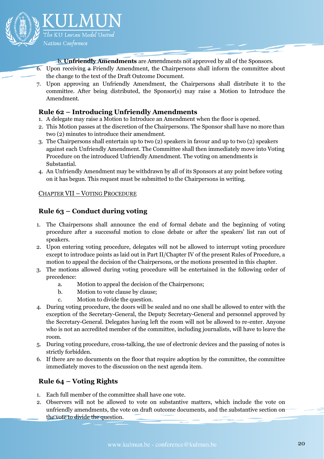

b. **Unfriendly Amendments** are Amendments not approved by all of the Sponsors.

- 6. Upon receiving a Friendly Amendment, the Chairpersons shall inform the committee about the change to the text of the Draft Outcome Document.
- 7. Upon approving an Unfriendly Amendment, the Chairpersons shall distribute it to the committee. After being distributed, the Sponsor(s) may raise a Motion to Introduce the Amendment.

## <span id="page-19-0"></span>**Rule 62 – Introducing Unfriendly Amendments**

- 1. A delegate may raise a Motion to Introduce an Amendment when the floor is opened.
- 2. This Motion passes at the discretion of the Chairpersons. The Sponsor shall have no more than two (2) minutes to introduce their amendment.
- 3. The Chairpersons shall entertain up to two (2) speakers in favour and up to two (2) speakers against each Unfriendly Amendment. The Committee shall then immediately move into Voting Procedure on the introduced Unfriendly Amendment. The voting on amendments is Substantial.
- 4. An Unfriendly Amendment may be withdrawn by all of its Sponsors at any point before voting on it has begun. This request must be submitted to the Chairpersons in writing.

#### <span id="page-19-1"></span>CHAPTER VII – VOTING PROCEDURE

## <span id="page-19-2"></span>**Rule 63 – Conduct during voting**

- 1. The Chairpersons shall announce the end of formal debate and the beginning of voting procedure after a successful motion to close debate or after the speakers' list ran out of speakers.
- 2. Upon entering voting procedure, delegates will not be allowed to interrupt voting procedure except to introduce points as laid out in Part II/Chapter IV of the present Rules of Procedure, a motion to appeal the decision of the Chairpersons, or the motions presented in this chapter.
- 3. The motions allowed during voting procedure will be entertained in the following order of precedence:
	- a. Motion to appeal the decision of the Chairpersons;
	- b. Motion to vote clause by clause;
	- c. Motion to divide the question.
- 4. During voting procedure, the doors will be sealed and no one shall be allowed to enter with the exception of the Secretary-General, the Deputy Secretary-General and personnel approved by the Secretary-General. Delegates having left the room will not be allowed to re-enter. Anyone who is not an accredited member of the committee, including journalists, will have to leave the room.
- 5. During voting procedure, cross-talking, the use of electronic devices and the passing of notes is strictly forbidden.
- 6. If there are no documents on the floor that require adoption by the committee, the committee immediately moves to the discussion on the next agenda item.

## <span id="page-19-3"></span>**Rule 64 – Voting Rights**

- 1. Each full member of the committee shall have one vote.
- 2. Observers will not be allowed to vote on substantive matters, which include the vote on unfriendly amendments, the vote on draft outcome documents, and the substantive section on the vote to divide the question.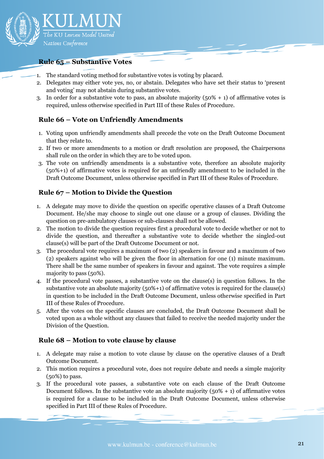

#### <span id="page-20-0"></span>**Rule 65 – Substantive Votes**

- 1. The standard voting method for substantive votes is voting by placard.
- 2. Delegates may either vote yes, no, or abstain. Delegates who have set their status to 'present and voting' may not abstain during substantive votes.
- 3. In order for a substantive vote to pass, an absolute majority  $(50\% + 1)$  of affirmative votes is required, unless otherwise specified in Part III of these Rules of Procedure.

## <span id="page-20-1"></span>**Rule 66 – Vote on Unfriendly Amendments**

- 1. Voting upon unfriendly amendments shall precede the vote on the Draft Outcome Document that they relate to.
- 2. If two or more amendments to a motion or draft resolution are proposed, the Chairpersons shall rule on the order in which they are to be voted upon.
- 3. The vote on unfriendly amendments is a substantive vote, therefore an absolute majority (50%+1) of affirmative votes is required for an unfriendly amendment to be included in the Draft Outcome Document, unless otherwise specified in Part III of these Rules of Procedure.

#### <span id="page-20-2"></span>**Rule 67 – Motion to Divide the Question**

- 1. A delegate may move to divide the question on specific operative clauses of a Draft Outcome Document. He/she may choose to single out one clause or a group of clauses. Dividing the question on pre-ambulatory clauses or sub-clauses shall not be allowed.
- 2. The motion to divide the question requires first a procedural vote to decide whether or not to divide the question, and thereafter a substantive vote to decide whether the singled-out clause(s) will be part of the Draft Outcome Document or not.
- 3. The procedural vote requires a maximum of two (2) speakers in favour and a maximum of two (2) speakers against who will be given the floor in alternation for one (1) minute maximum. There shall be the same number of speakers in favour and against. The vote requires a simple majority to pass (50%).
- 4. If the procedural vote passes, a substantive vote on the clause(s) in question follows. In the substantive vote an absolute majority (50%+1) of affirmative votes is required for the clause(s) in question to be included in the Draft Outcome Document, unless otherwise specified in Part III of these Rules of Procedure.
- 5. After the votes on the specific clauses are concluded, the Draft Outcome Document shall be voted upon as a whole without any clauses that failed to receive the needed majority under the Division of the Question.

#### <span id="page-20-3"></span>**Rule 68 – Motion to vote clause by clause**

- 1. A delegate may raise a motion to vote clause by clause on the operative clauses of a Draft Outcome Document.
- 2. This motion requires a procedural vote, does not require debate and needs a simple majority (50%) to pass.
- 3. If the procedural vote passes, a substantive vote on each clause of the Draft Outcome Document follows. In the substantive vote an absolute majority  $(50\% + 1)$  of affirmative votes is required for a clause to be included in the Draft Outcome Document, unless otherwise specified in Part III of these Rules of Procedure.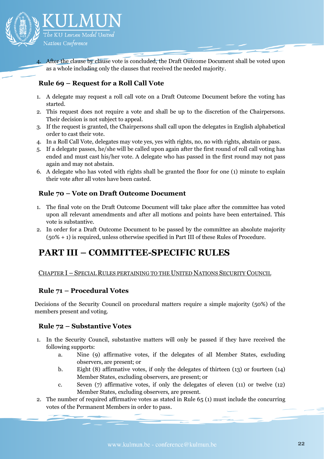

4. After the clause by clause vote is concluded, the Draft Outcome Document shall be voted upon as a whole including only the clauses that received the needed majority.

## <span id="page-21-0"></span>**Rule 69 – Request for a Roll Call Vote**

- 1. A delegate may request a roll call vote on a Draft Outcome Document before the voting has started.
- 2. This request does not require a vote and shall be up to the discretion of the Chairpersons. Their decision is not subject to appeal.
- 3. If the request is granted, the Chairpersons shall call upon the delegates in English alphabetical order to cast their vote.
- 4. In a Roll Call Vote, delegates may vote yes, yes with rights, no, no with rights, abstain or pass.
- 5. If a delegate passes, he/she will be called upon again after the first round of roll call voting has ended and must cast his/her vote. A delegate who has passed in the first round may not pass again and may not abstain.
- 6. A delegate who has voted with rights shall be granted the floor for one (1) minute to explain their vote after all votes have been casted.

## <span id="page-21-1"></span>**Rule 70 – Vote on Draft Outcome Document**

- 1. The final vote on the Draft Outcome Document will take place after the committee has voted upon all relevant amendments and after all motions and points have been entertained. This vote is substantive.
- 2. In order for a Draft Outcome Document to be passed by the committee an absolute majority (50% + 1) is required, unless otherwise specified in Part III of these Rules of Procedure.

## <span id="page-21-2"></span>**PART III – COMMITTEE-SPECIFIC RULES**

#### <span id="page-21-3"></span>CHAPTER I – SPECIAL RULES PERTAINING TO THE UNITED NATIONS SECURITY COUNCIL

#### <span id="page-21-4"></span>**Rule 71 – Procedural Votes**

Decisions of the Security Council on procedural matters require a simple majority (50%) of the members present and voting.

#### <span id="page-21-5"></span>**Rule 72 – Substantive Votes**

- 1. In the Security Council, substantive matters will only be passed if they have received the following supports:
	- a. Nine (9) affirmative votes, if the delegates of all Member States, excluding observers, are present; or
	- b. Eight (8) affirmative votes, if only the delegates of thirteen (13) or fourteen (14) Member States, excluding observers, are present; or
	- c. Seven (7) affirmative votes, if only the delegates of eleven (11) or twelve (12) Member States, excluding observers, are present.
- 2. The number of required affirmative votes as stated in Rule 65 (1) must include the concurring votes of the Permanent Members in order to pass.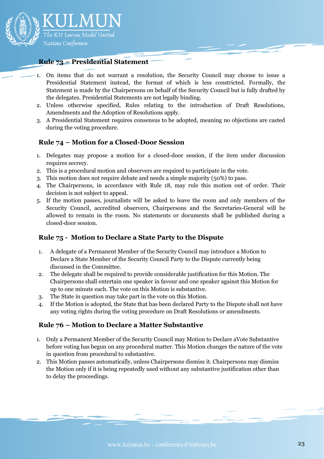

#### <span id="page-22-0"></span>**Rule 73 – Presidential Statement**

- 1. On items that do not warrant a resolution, the Security Council may choose to issue a Presidential Statement instead, the format of which is less constricted. Formally, the Statement is made by the Chairpersons on behalf of the Security Council but is fully drafted by the delegates. Presidential Statements are not legally binding.
- 2. Unless otherwise specified, Rules relating to the introduction of Draft Resolutions, Amendments and the Adoption of Resolutions apply.
- 3. A Presidential Statement requires consensus to be adopted, meaning no objections are casted during the voting procedure.

#### <span id="page-22-1"></span>**Rule 74 – Motion for a Closed-Door Session**

- 1. Delegates may propose a motion for a closed-door session, if the item under discussion requires secrecy.
- 2. This is a procedural motion and observers are required to participate in the vote.
- 3. This motion does not require debate and needs a simple majority (50%) to pass.
- 4. The Chairpersons, in accordance with Rule 18, may rule this motion out of order. Their decision is not subject to appeal.
- 5. If the motion passes, journalists will be asked to leave the room and only members of the Security Council, accredited observers, Chairpersons and the Secretaries-General will be allowed to remain in the room. No statements or documents shall be published during a closed-door session.

#### <span id="page-22-2"></span>**Rule 75 - Motion to Declare a State Party to the Dispute**

- 1. A delegate of a Permanent Member of the Security Council may introduce a Motion to Declare a State Member of the Security Council Party to the Dispute currently being discussed in the Committee.
- 2. The delegate shall be required to provide considerable justification for this Motion. The Chairpersons shall entertain one speaker in favour and one speaker against this Motion for up to one minute each. The vote on this Motion is substantive.
- 3. The State in question may take part in the vote on this Motion.
- 4. If the Motion is adopted, the State that has been declared Party to the Dispute shall not have any voting rights during the voting procedure on Draft Resolutions or amendments.

#### <span id="page-22-3"></span>**Rule 76 – Motion to Declare a Matter Substantive**

- 1. Only a Permanent Member of the Security Council may Motion to Declare aVote Substantive before voting has begun on any procedural matter. This Motion changes the nature of the vote in question from procedural to substantive.
- 2. This Motion passes automatically, unless Chairpersons dismiss it. Chairpersons may dismiss the Motion only if it is being repeatedly used without any substantive justification other than to delay the proceedings.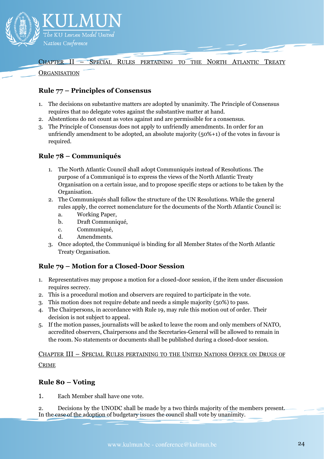

<span id="page-23-0"></span>CHAPTER II – SPECIAL RULES PERTAINING TO THE NORTH ATLANTIC TREATY

#### **ORGANISATION**

## <span id="page-23-1"></span>**Rule 77 – Principles of Consensus**

- 1. The decisions on substantive matters are adopted by unanimity. The Principle of Consensus requires that no delegate votes against the substantive matter at hand.
- 2. Abstentions do not count as votes against and are permissible for a consensus.
- 3. The Principle of Consensus does not apply to unfriendly amendments. In order for an unfriendly amendment to be adopted, an absolute majority (50%+1) of the votes in favour is required.

## <span id="page-23-2"></span>**Rule 78 – Communiqués**

- 1. The North Atlantic Council shall adopt Communiqués instead of Resolutions. The purpose of a Communiqué is to express the views of the North Atlantic Treaty Organisation on a certain issue, and to propose specific steps or actions to be taken by the Organisation.
- 2. The Communiqués shall follow the structure of the UN Resolutions. While the general rules apply, the correct nomenclature for the documents of the North Atlantic Council is:
	- a. Working Paper,
	- b. Draft Communiqué,
	- c. Communiqué,
	- d. Amendments.
- 3. Once adopted, the Communiqué is binding for all Member States of the North Atlantic Treaty Organisation.

## <span id="page-23-3"></span>**Rule 79 – Motion for a Closed-Door Session**

- 1. Representatives may propose a motion for a closed-door session, if the item under discussion requires secrecy.
- 2. This is a procedural motion and observers are required to participate in the vote.
- 3. This motion does not require debate and needs a simple majority (50%) to pass.
- 4. The Chairpersons, in accordance with Rule 19, may rule this motion out of order. Their decision is not subject to appeal.
- 5. If the motion passes, journalists will be asked to leave the room and only members of NATO, accredited observers, Chairpersons and the Secretaries-General will be allowed to remain in the room. No statements or documents shall be published during a closed-door session.

<span id="page-23-4"></span>CHAPTER III – SPECIAL RULES PERTAINING TO THE UNITED NATIONS OFFICE ON DRUGS OF CRIME

## <span id="page-23-5"></span>**Rule 80 – Voting**

1. Each Member shall have one vote.

2. Decisions by the UNODC shall be made by a two thirds majority of the members present. In the case of the adoption of budgetary issues the council shall vote by unanimity.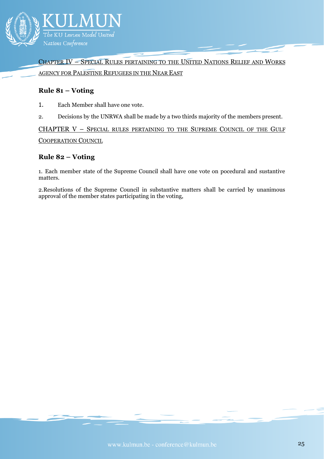

<span id="page-24-0"></span>CHAPTER IV – SPECIAL RULES PERTAINING TO THE UNITED NATIONS RELIEF AND WORKS AGENCY FOR PALESTINE REFUGEES IN THE NEAR EAST

#### <span id="page-24-1"></span>**Rule 81 – Voting**

- 1. Each Member shall have one vote.
- 2. Decisions by the UNRWA shall be made by a two thirds majority of the members present.

<span id="page-24-2"></span>CHAPTER V – SPECIAL RULES PERTAINING TO THE SUPREME COUNCIL OF THE GULF COOPERATION COUNCIL

#### <span id="page-24-3"></span>**Rule 82 – Voting**

1. Each member state of the Supreme Council shall have one vote on pocedural and sustantive matters.

2.Resolutions of the Supreme Council in substantive matters shall be carried by unanimous approval of the member states participating in the voting,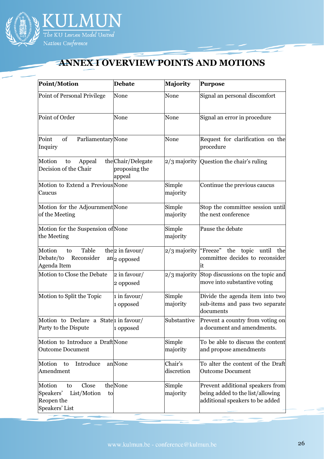

## <span id="page-25-0"></span>**ANNEX I OVERVIEW POINTS AND MOTIONS**

| <b>Point/Motion</b>                                                                     | <b>Debate</b>                                 | <b>Majority</b>       | <b>Purpose</b>                                                                                          |
|-----------------------------------------------------------------------------------------|-----------------------------------------------|-----------------------|---------------------------------------------------------------------------------------------------------|
| Point of Personal Privilege                                                             | None                                          | None                  | Signal an personal discomfort                                                                           |
| Point of Order                                                                          | None                                          | None                  | Signal an error in procedure                                                                            |
| Point<br>of<br><b>Parliamentary</b> None<br>Inquiry                                     |                                               | None                  | Request for clarification on the<br>procedure                                                           |
| Motion<br>Appeal<br>to<br>Decision of the Chair                                         | the Chair/Delegate<br>proposing the<br>appeal |                       | 2/3 majority Question the chair's ruling                                                                |
| Motion to Extend a Previous None<br>Caucus                                              |                                               | Simple<br>majority    | Continue the previous caucus                                                                            |
| Motion for the Adjournment None<br>of the Meeting                                       |                                               | Simple<br>majority    | Stop the committee session until<br>the next conference                                                 |
| Motion for the Suspension of None<br>the Meeting                                        |                                               | Simple<br>majority    | Pause the debate                                                                                        |
| Table<br>Motion<br>to<br>Reconsider<br>Debate/to<br>Agenda Item                         | the 2 in favour/<br>$an 2$ opposed            | $2/3$ majority        | "Freeze"<br>the topic until<br>the<br>committee decides to reconsider<br>it                             |
| Motion to Close the Debate                                                              | 2 in favour/<br>2 opposed                     | $2/3$ majority        | Stop discussions on the topic and<br>move into substantive voting                                       |
| Motion to Split the Topic                                                               | 1 in favour/<br>1 opposed                     | Simple<br>majority    | Divide the agenda item into two<br>sub-items and pass two separate<br>documents                         |
| Motion to Declare a State 1 in favour/<br>Party to the Dispute                          | 1 opposed                                     | Substantive           | Prevent a country from voting on<br>a document and amendments.                                          |
| Motion to Introduce a Draft None<br><b>Outcome Document</b>                             |                                               | Simple<br>majority    | To be able to discuss the content<br>and propose amendments                                             |
| Introduce<br>Motion<br>to<br>Amendment                                                  | anNone                                        | Chair's<br>discretion | To alter the content of the Draft<br><b>Outcome Document</b>                                            |
| Motion<br>Close<br>to<br>Speakers'<br>List/Motion<br>to<br>Reopen the<br>Speakers' List | theNone                                       | Simple<br>majority    | Prevent additional speakers from<br>being added to the list/allowing<br>additional speakers to be added |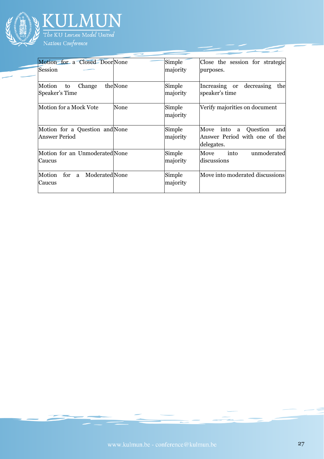

| Motion for a Closed Door None<br>Session               |         | Simple<br>majority | Close the session for strategic<br>purposes.                                        |
|--------------------------------------------------------|---------|--------------------|-------------------------------------------------------------------------------------|
| Motion<br>Change<br>to<br>Speaker's Time               | theNone | Simple<br>majority | Increasing or decreasing<br>the<br>speaker's time                                   |
| Motion for a Mock Vote                                 | None    | Simple<br>majority | Verify majorities on document                                                       |
| Motion for a Question and None<br><b>Answer Period</b> |         | Simple<br>majority | Move<br>Question<br>into<br>and<br>a<br>Answer Period with one of the<br>delegates. |
| Motion for an Unmoderated None<br>Caucus               |         | Simple<br>majority | unmoderated<br>into<br>Move<br>discussions                                          |
| for<br>ModeratedNone<br>Motion<br>a<br>Caucus          |         | Simple<br>majority | Move into moderated discussions                                                     |